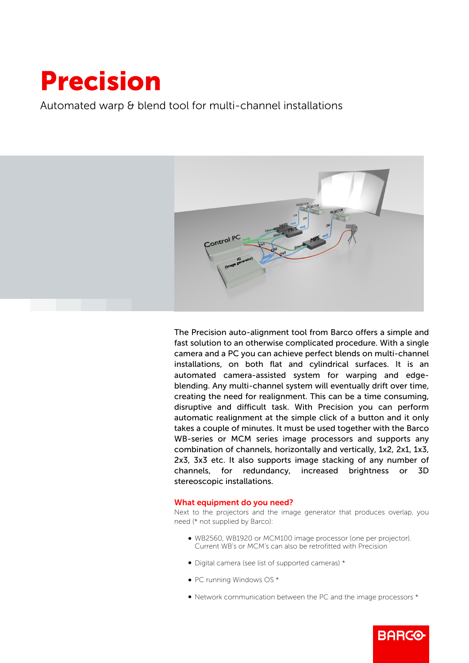## Precision

Automated warp & blend tool for multi-channel installations



The Precision auto-alignment tool from Barco offers a simple and fast solution to an otherwise complicated procedure. With a single camera and a PC you can achieve perfect blends on multi-channel installations, on both flat and cylindrical surfaces. It is an automated camera-assisted system for warping and edgeblending. Any multi-channel system will eventually drift over time, creating the need for realignment. This can be a time consuming, disruptive and difficult task. With Precision you can perform automatic realignment at the simple click of a button and it only takes a couple of minutes. It must be used together with the Barco WB-series or MCM series image processors and supports any combination of channels, horizontally and vertically, 1x2, 2x1, 1x3, 2x3, 3x3 etc. It also supports image stacking of any number of channels, for redundancy, increased brightness or 3D stereoscopic installations.

## What equipment do you need?

Next to the projectors and the image generator that produces overlap, you need (\* not supplied by Barco):

- b WB2560, WB1920 or MCM100 image processor (one per projector). Current WB's or MCM's can also be retrofitted with Precision
- Digital camera (see list of supported cameras) \*
- PC running Windows OS \*
- Network communication between the PC and the image processors \*

**BARGO**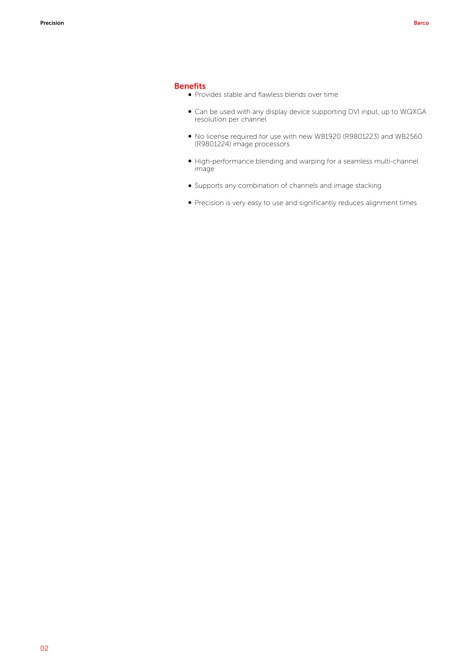## Benefits

- Provides stable and flawless blends over time
- Can be used with any display device supporting DVI input, up to WQXGA resolution per channel
- b No license required for use with new WB1920 (R9801223) and WB2560 (R9801224) image processors
- b High-performance blending and warping for a seamless multi-channel image
- b Supports any combination of channels and image stacking
- Precision is very easy to use and significantly reduces alignment times